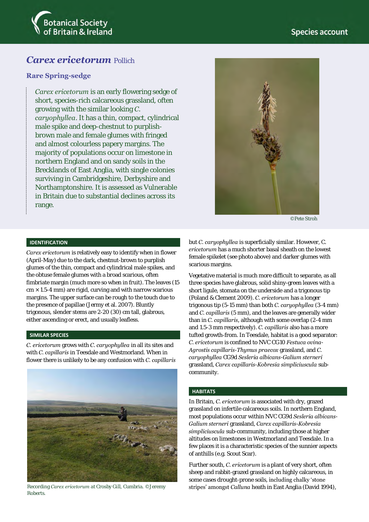



# *Carex ericetorum* Pollich

# **Rare Spring-sedge**

*Carex ericetorum* is an early flowering sedge of short, species-rich calcareous grassland, often growing with the similar looking *C. caryophyllea*. It has a thin, compact, cylindrical male spike and deep-chestnut to purplishbrown male and female glumes with fringed and almost colourless papery margins. The majority of populations occur on limestone in northern England and on sandy soils in the Brecklands of East Anglia, with single colonies surviving in Cambridgeshire, Derbyshire and Northamptonshire. It is assessed as Vulnerable in Britain due to substantial declines across its range.



©Pete Stroh

#### **IDENTIFICATION**

*Carex ericetorum* is relatively easy to identify when in flower (April-May) due to the dark, chestnut-brown to purplish glumes of the thin, compact and cylindrical male spikes, and the obtuse female glumes with a broad scarious, often fimbriate margin (much more so when in fruit). The leaves (15  $cm \times 1.5$ -4 mm) are rigid, curving and with narrow scarious margins. The upper surface can be rough to the touch due to the presence of papillae (Jermy et al. 2007). Bluntly trigonous, slender stems are 2-20 (30) cm tall, glabrous, either ascending or erect, and usually leafless.

### **SIMILAR SPECIES**

*C. ericetorum* grows with *C. caryophyllea* in all its sites and with *C. capillaris* in Teesdale and Westmorland. When in flower there is unlikely to be any confusion with *C. capillaris*



Roberts.

but *C. caryophyllea* is superficially similar. However, C. *ericetorum* has a much shorter basal sheath on the lowest female spikelet (see photo above) and darker glumes with scarious margins.

Vegetative material is much more difficult to separate, as all three species have glabrous, solid shiny-green leaves with a short ligule, stomata on the underside and a trigonous tip (Poland & Clement 2009). *C. ericetorum* has a longer trigonous tip (5-15 mm) than both *C. caryophyllea* (3-4 mm) and *C. capillaris* (5 mm), and the leaves are generally wider than in *C. capillaris,* although with some overlap (2-4 mm and 1.5-3 mm respectively). *C. capillaris* also has a more tufted growth-from. In Teesdale, habitat is a good separator: *C. ericetorum* is confined to NVC CG10 *Festuca ovina*-*Agrostis capillaris*-*Thymus praecox* grassland, and *C. caryophyllea* CG9d *Sesleria albicans*-*Galium sterneri* grassland, *Carex capillaris*-*Kobresia simpliciuscula* subcommunity.

#### **HABITATS**

In Britain, *C. ericetorum* is associated with dry, grazed grassland on infertile calcareous soils. In northern England, most populations occur within NVC CG9d *Sesleria albicans*-*Galium sterneri* grassland, *Carex capillaris-Kobresia simpliciuscula* sub-community, including those at higher altitudes on limestones in Westmorland and Teesdale. In a few places it is a characteristic species of the sunnier aspects of anthills (e.g. Scout Scar).

Further south, *C. ericetorum* is a plant of very short, often sheep and rabbit-grazed grassland on highly calcareous, in some cases drought-prone soils, including chalky 'stone Recording *Carex ericetorum* at Crosby Gill, Cumbria. ©Jeremy stripes' amongst *Calluna* heath in East Anglia (David 1994),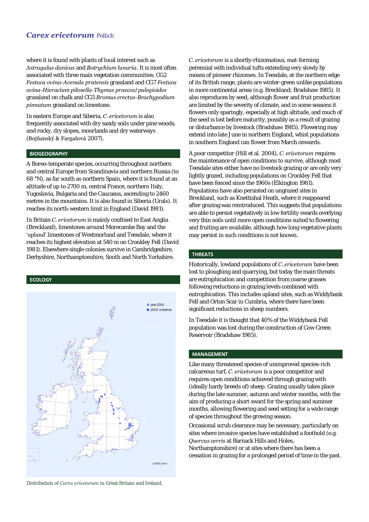# *Carex ericetorum* Pollich

where it is found with plants of local interest such as *Astragalus danicus* and *Botrychium lunaria*. It is most often associated with three main vegetation communities: CG2 *Festuca ovina*-*Avenula pratensis* grassland and CG7 *Festuca ovina*-*Hieracium pilosella*-*Thymus praecox*/*pulegioides* grassland on chalk and CG5 *Bromus erectus*-*Brachypodium pinnatum* grassland on limestone.

In eastern Europe and Siberia, *C. ericetorum* is also frequently associated with dry sandy soils under pine woods, and rocky, dry slopes, moorlands and dry waterways (Bojňanský & Fargašová 2007).

#### **BIOGEOGRAPHY**

A Boreo-temperate species, occurring throughout northern and central Europe from Scandinavia and northern Russia (to 68 °N), as far south as northern Spain, where it is found at an altitude of up to 2700 m, central France, northern Italy, Yugoslavia, Bulgaria and the Caucasus, ascending to 2460 metres in the mountains. It is also found in Siberia (Urals). It reaches its north-western limit in England (David 1981).

In Britain *C. ericetorum* is mainly confined to East Anglia (Breckland), limestones around Morecambe Bay and the 'upland' limestones of Westmorland and Teesdale, where it reaches its highest elevation at 540 m on Cronkley Fell (David 1981). Elsewhere single colonies survive in Cambridgeshire, Derbyshire, Northamptonshire, South and North Yorkshire.

#### **ECOLOGY**



Distribution of *Carex ericetorum* in Great Britain and Ireland.

*C. ericetorum* is a shortly-rhizomatous, mat-forming perennial with individual tufts extending very slowly by means of pioneer rhizomes. In Teesdale, at the northern edge of its British range, plants are winter-green unlike populations in more continental areas (e.g. Breckland; Bradshaw 1985). It also reproduces by seed, although flower and fruit production are limited by the severity of climate, and in some seasons it flowers only sparingly, especially at high altitude, and much of the seed is lost before maturity, possibly as a result of grazing or disturbance by livestock (Bradshaw 1985). Flowering may extend into late June in northern England, whist populations in southern England can flower from March onwards.

A poor competitor (Hill et al. 2004), *C. ericetorum* requires the maintenance of open conditions to survive, although most Teesdale sites either have no livestock grazing or are only very lightly grazed, including populations on Cronkley Fell that have been fenced since the 1960s (Elkington 1981). Populations have also persisted on ungrazed sites in Breckland, such as Knettishal Heath, where it reappeared after grazing was reintroduced. This suggests that populations are able to persist vegetatively in low fertility swards overlying very thin soils until more open conditions suited to flowering and fruiting are available, although how long vegetative plants may persist in such conditions is not known.

### **THREATS**

Historically, lowland populations of *C. ericetorum* have been lost to ploughing and quarrying, but today the main threats are eutrophication and competition from coarse grasses following reductions in grazing levels combined with eutrophication. This includes upland sites, such as Widdybank Fell and Orton Scar in Cumbria, where there have been significant reductions in sheep numbers.

In Teesdale it is thought that 40% of the Widdybank Fell population was lost during the construction of Cow Green Reservoir (Bradshaw 1985).

#### **MANAGEMENT**

Like many threatened species of unimproved species-rich calcareous turf, *C. ericetorum* is a poor competitor and requires open conditions achieved through grazing with (ideally hardy breeds of) sheep. Grazing usually takes place during the late summer, autumn and winter months, with the aim of producing a short sward for the spring and summer months, allowing flowering and seed setting for a wide range of species throughout the growing season.

Occasional scrub clearance may be necessary, particularly on sites where invasive species have established a foothold (e.g. *Quercus cerris* at Barnack Hills and Holes,

Northamptonshire) or at sites where there has been a cessation in grazing for a prolonged period of time in the past.